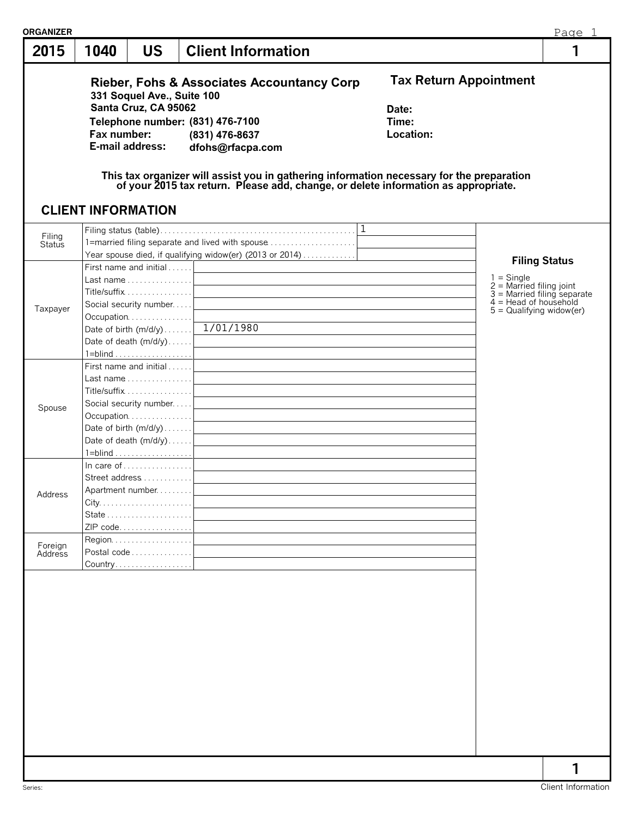| 2015               | <b>US</b><br>1040                                                                                                                                                 | <b>Client Information</b>                                                                                                                                                                                                                                                                                       |                                                              | 1                                                                                                   |
|--------------------|-------------------------------------------------------------------------------------------------------------------------------------------------------------------|-----------------------------------------------------------------------------------------------------------------------------------------------------------------------------------------------------------------------------------------------------------------------------------------------------------------|--------------------------------------------------------------|-----------------------------------------------------------------------------------------------------|
|                    | 331 Soquel Ave., Suite 100<br>Santa Cruz, CA 95062<br>Fax number:<br>E-mail address:                                                                              | <b>Rieber, Fohs &amp; Associates Accountancy Corp</b><br>Telephone number: (831) 476-7100<br>(831) 476-8637<br>dfohs@rfacpa.com<br>This tax organizer will assist you in gathering information necessary for the preparation of your 2015 tax return. Please add, change, or delete information as appropriate. | <b>Tax Return Appointment</b><br>Date:<br>Time:<br>Location: |                                                                                                     |
|                    | <b>CLIENT INFORMATION</b>                                                                                                                                         |                                                                                                                                                                                                                                                                                                                 |                                                              |                                                                                                     |
| Filing<br>Status   | First name and initial $\dots$ .<br>Last name $\ldots \ldots \ldots \ldots$                                                                                       | 1=married filing separate and lived with spouse<br>Year spouse died, if qualifying widow(er) (2013 or 2014)<br><u> 1989 - Johann Barn, mars ann an t-Amhainn an t-Amhainn an t-Amhainn an t-Amhainn an t-Amhainn an t-Amhainn a</u>                                                                             |                                                              | <b>Filing Status</b><br>$1 =$ Single<br>$2$ = Married filing joint<br>$3$ = Married filing separate |
| Taxpayer           | Title/suffix  <br>Social security number<br>Occupation<br>Date of death $(m/d/y)$                                                                                 | Date of birth (m/d/y) 1/01/1980<br><u> 1980 - Andrea Stadt Britain, marwolaeth a bhliain 1980 - An t-Ainm an t-Ainm an t-Ainm an t-Ainm an t-Ainm a</u>                                                                                                                                                         |                                                              | $4 =$ Head of household<br>$5 =$ Qualifying widow(er)                                               |
| Spouse             | First name and initial $\dots$ .<br>Last name $\ldots \ldots \ldots \ldots$<br>Title/suffix  <br>Social security number<br>Occupation <br>Date of birth $(m/d/y)$ | <u> 1989 - Andrea Andrew Maria (h. 1989).</u><br><u> 1989 - Johann Stein, marwolaethau (b. 1989)</u>                                                                                                                                                                                                            |                                                              |                                                                                                     |
| Address            | In care of $\dots$ , $\dots$ , $\dots$<br>Street address<br>Apartment number<br>ZIP code                                                                          |                                                                                                                                                                                                                                                                                                                 |                                                              |                                                                                                     |
| Foreign<br>Address | Postal code                                                                                                                                                       |                                                                                                                                                                                                                                                                                                                 |                                                              |                                                                                                     |
|                    |                                                                                                                                                                   |                                                                                                                                                                                                                                                                                                                 |                                                              |                                                                                                     |
|                    |                                                                                                                                                                   |                                                                                                                                                                                                                                                                                                                 |                                                              |                                                                                                     |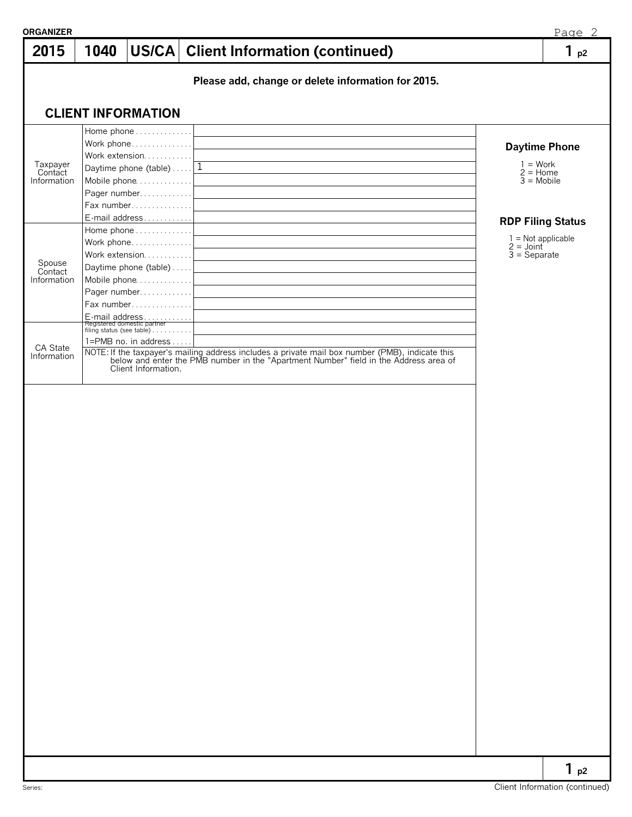| 2015                               | 1040 |                                                                                                                           | US/CA   Client Information (continued)                                                                                                                                                | 1 <sub>p2</sub>                                                                   |
|------------------------------------|------|---------------------------------------------------------------------------------------------------------------------------|---------------------------------------------------------------------------------------------------------------------------------------------------------------------------------------|-----------------------------------------------------------------------------------|
|                                    |      |                                                                                                                           | Please add, change or delete information for 2015.                                                                                                                                    |                                                                                   |
|                                    |      | <b>CLIENT INFORMATION</b>                                                                                                 |                                                                                                                                                                                       |                                                                                   |
| Taxpayer<br>Contact<br>Information |      | Home phone<br>Work phone <br>Work extension <br>Daytime phone (table) $\dots$   1<br>Pager number<br>Fax number           |                                                                                                                                                                                       | <b>Daytime Phone</b><br>$1 = Work$<br>$2 =$ Home<br>$\overline{3}$ = Mobile       |
| Spouse<br>Contact<br>Information   |      | E-mail address<br>Home phone<br>Work phone <br>Work extension <br>Pager number <br>Fax number                             |                                                                                                                                                                                       | <b>RDP Filing Status</b><br>$1 = Not applicable$<br>$2 =$ Joint<br>$3 =$ Separate |
| CA State<br>Information            |      | E-mail address<br>Registered domestic partner<br>filing status (see table)<br>1=PMB no. in address<br>Client Information. | NOTE: If the taxpayer's mailing address includes a private mail box number (PMB), indicate this below and enter the PMB number in the "Apartment Number" field in the Address area of |                                                                                   |
|                                    |      |                                                                                                                           |                                                                                                                                                                                       |                                                                                   |
|                                    |      |                                                                                                                           |                                                                                                                                                                                       |                                                                                   |
|                                    |      |                                                                                                                           |                                                                                                                                                                                       |                                                                                   |
|                                    |      |                                                                                                                           |                                                                                                                                                                                       |                                                                                   |
|                                    |      |                                                                                                                           |                                                                                                                                                                                       |                                                                                   |
|                                    |      |                                                                                                                           |                                                                                                                                                                                       |                                                                                   |
|                                    |      |                                                                                                                           |                                                                                                                                                                                       |                                                                                   |
|                                    |      |                                                                                                                           |                                                                                                                                                                                       |                                                                                   |
|                                    |      |                                                                                                                           |                                                                                                                                                                                       |                                                                                   |
|                                    |      |                                                                                                                           |                                                                                                                                                                                       |                                                                                   |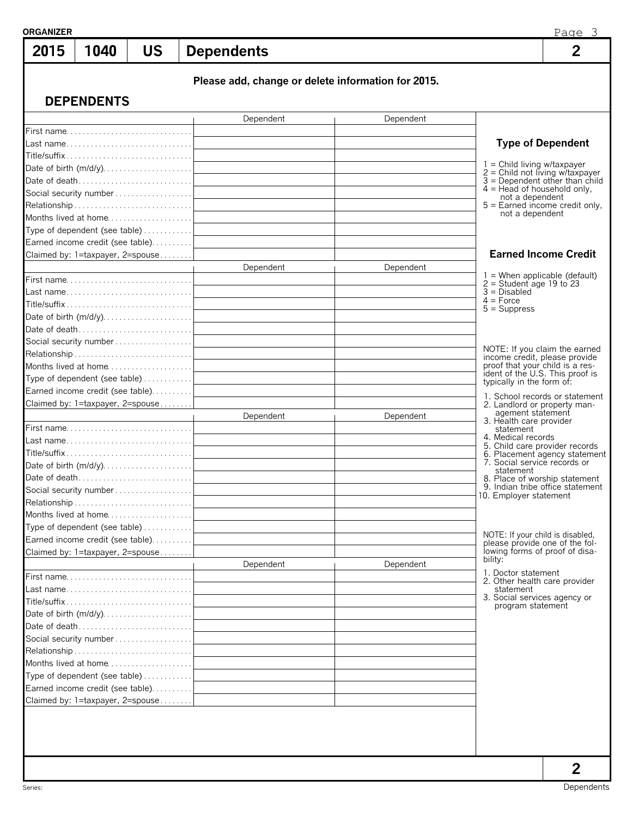| 2015                              | 1040                                                                        | <b>US</b> | <b>Dependents</b> |           |                                                    |                                              | Page 3<br>$\overline{2}$                                              |
|-----------------------------------|-----------------------------------------------------------------------------|-----------|-------------------|-----------|----------------------------------------------------|----------------------------------------------|-----------------------------------------------------------------------|
|                                   | <b>DEPENDENTS</b>                                                           |           |                   |           | Please add, change or delete information for 2015. |                                              |                                                                       |
|                                   |                                                                             |           |                   | Dependent | Dependent                                          |                                              |                                                                       |
|                                   |                                                                             |           |                   |           |                                                    |                                              |                                                                       |
|                                   |                                                                             |           |                   |           |                                                    |                                              | <b>Type of Dependent</b>                                              |
|                                   |                                                                             |           |                   |           |                                                    | $1 =$ Child living w/taxpayer                |                                                                       |
|                                   |                                                                             |           |                   |           |                                                    |                                              | $2 =$ Child not living w/taxpayer<br>$3 =$ Dependent other than child |
|                                   |                                                                             |           |                   |           |                                                    | $4 =$ Head of household only,                |                                                                       |
|                                   |                                                                             |           |                   |           |                                                    | not a dependent                              | $5 =$ Earned income credit only,                                      |
|                                   | Months lived at home                                                        |           |                   |           |                                                    | not a dependent                              |                                                                       |
|                                   | Type of dependent (see table)                                               |           |                   |           |                                                    |                                              |                                                                       |
|                                   | Earned income credit (see table).                                           |           |                   |           |                                                    |                                              |                                                                       |
|                                   | Claimed by: 1=taxpayer, 2=spouse                                            |           |                   |           |                                                    |                                              | <b>Earned Income Credit</b>                                           |
|                                   |                                                                             |           |                   | Dependent | Dependent                                          |                                              | $1 =$ When applicable (default)                                       |
|                                   |                                                                             |           |                   |           |                                                    | $2 =$ Student age 19 to 23                   |                                                                       |
|                                   |                                                                             |           |                   |           |                                                    | $3 = Disabled$<br>$4 = Force$                |                                                                       |
|                                   | $\text{Title/suffix} \dots \dots \dots \dots \dots \dots \dots \dots \dots$ |           |                   |           |                                                    | $5 =$ Suppress                               |                                                                       |
|                                   |                                                                             |           |                   |           |                                                    |                                              |                                                                       |
|                                   | Social security number                                                      |           |                   |           |                                                    |                                              |                                                                       |
|                                   |                                                                             |           |                   |           |                                                    |                                              | NOTE: If you claim the earned                                         |
|                                   | Months lived at home                                                        |           |                   |           |                                                    | proof that your child is a res-              | income credit, please provide                                         |
|                                   |                                                                             |           |                   |           |                                                    | typically in the form of:                    | ident of the U.S. This proof is                                       |
|                                   | Earned income credit (see table).                                           |           |                   |           |                                                    |                                              |                                                                       |
|                                   | Claimed by: 1=taxpayer, 2=spouse                                            |           |                   |           |                                                    | 2. Landlord or property man-                 | 1. School records or statement                                        |
|                                   |                                                                             |           |                   | Dependent | Dependent                                          | agement statement<br>3. Health care provider |                                                                       |
|                                   |                                                                             |           |                   |           |                                                    | statement                                    |                                                                       |
|                                   |                                                                             |           |                   |           |                                                    | 4. Medical records                           | 5. Child care provider records                                        |
|                                   |                                                                             |           |                   |           |                                                    |                                              | 6. Placement agency statement                                         |
|                                   |                                                                             |           |                   |           |                                                    | 7. Social service records or<br>statement    |                                                                       |
|                                   |                                                                             |           |                   |           |                                                    |                                              | 8. Place of worship statement                                         |
|                                   | Social security number                                                      |           |                   |           |                                                    | 10. Employer statement                       | 9. Indian tribe office statement                                      |
|                                   |                                                                             |           |                   |           |                                                    |                                              |                                                                       |
|                                   | Months lived at home                                                        |           |                   |           |                                                    |                                              |                                                                       |
|                                   | Type of dependent (see table)                                               |           |                   |           |                                                    | NOTE: If your child is disabled,             |                                                                       |
| Earned income credit (see table). |                                                                             |           |                   |           |                                                    |                                              | please provide one of the fol-<br>lowing forms of proof of disa-      |
| Claimed by: 1=taxpayer, 2=spouse  |                                                                             |           | Dependent         | Dependent | bility:                                            |                                              |                                                                       |
|                                   |                                                                             |           |                   |           |                                                    | 1. Doctor statement                          |                                                                       |
|                                   |                                                                             |           |                   |           |                                                    | 2. Other health care provider<br>statement   |                                                                       |
|                                   |                                                                             |           |                   |           |                                                    | 3. Social services agency or                 |                                                                       |
|                                   |                                                                             |           |                   |           |                                                    | program statement                            |                                                                       |
|                                   |                                                                             |           |                   |           |                                                    |                                              |                                                                       |
|                                   |                                                                             |           |                   |           |                                                    |                                              |                                                                       |
|                                   |                                                                             |           |                   |           |                                                    |                                              |                                                                       |
|                                   | Months lived at home                                                        |           |                   |           |                                                    |                                              |                                                                       |
|                                   | Type of dependent (see table)                                               |           |                   |           |                                                    |                                              |                                                                       |
|                                   | Earned income credit (see table).                                           |           |                   |           |                                                    |                                              |                                                                       |
|                                   | Claimed by: 1=taxpayer, 2=spouse                                            |           |                   |           |                                                    |                                              |                                                                       |
|                                   |                                                                             |           |                   |           |                                                    |                                              |                                                                       |
|                                   |                                                                             |           |                   |           |                                                    |                                              | 2                                                                     |